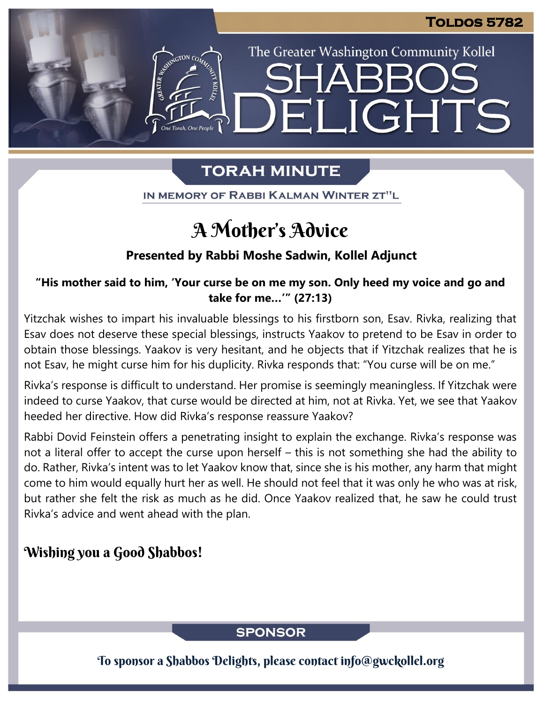The Greater Washington Community Kollel

ELIGHTS

## **TORAH MINUTE**

IN MEMORY OF RABBI KALMAN WINTER ZT"L

# A Mother's Advice

### **Presented by Rabbi Moshe Sadwin, Kollel Adjunct**

### **"His mother said to him, 'Your curse be on me my son. Only heed my voice and go and take for me…'" (27:13)**

Yitzchak wishes to impart his invaluable blessings to his firstborn son, Esav. Rivka, realizing that Esav does not deserve these special blessings, instructs Yaakov to pretend to be Esav in order to obtain those blessings. Yaakov is very hesitant, and he objects that if Yitzchak realizes that he is not Esav, he might curse him for his duplicity. Rivka responds that: "You curse will be on me."

Rivka's response is difficult to understand. Her promise is seemingly meaningless. If Yitzchak were indeed to curse Yaakov, that curse would be directed at him, not at Rivka. Yet, we see that Yaakov heeded her directive. How did Rivka's response reassure Yaakov?

Rabbi Dovid Feinstein offers a penetrating insight to explain the exchange. Rivka's response was not a literal offer to accept the curse upon herself – this is not something she had the ability to do. Rather, Rivka's intent was to let Yaakov know that, since she is his mother, any harm that might come to him would equally hurt her as well. He should not feel that it was only he who was at risk, but rather she felt the risk as much as he did. Once Yaakov realized that, he saw he could trust Rivka's advice and went ahead with the plan.

### Wishing you a Good Shabbos!

### **SPONSOR**

To sponsor a Shabbos Delights, please contact info@gwckollel.org